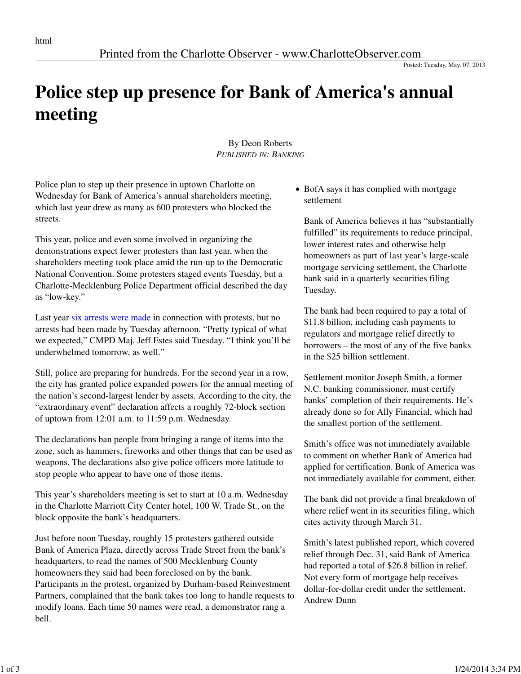Posted: Tuesday, May. 07, 2013

## **Police step up presence for Bank of America's annual meeting**

By Deon Roberts *PUBLISHED IN: BANKING*

Police plan to step up their presence in uptown Charlotte on Wednesday for Bank of America's annual shareholders meeting, which last year drew as many as 600 protesters who blocked the streets.

This year, police and even some involved in organizing the demonstrations expect fewer protesters than last year, when the shareholders meeting took place amid the run-up to the Democratic National Convention. Some protesters staged events Tuesday, but a Charlotte-Mecklenburg Police Department official described the day as "low-key."

Last year six arrests were made in connection with protests, but no arrests had been made by Tuesday afternoon. "Pretty typical of what we expected," CMPD Maj. Jeff Estes said Tuesday. "I think you'll be underwhelmed tomorrow, as well."

Still, police are preparing for hundreds. For the second year in a row, the city has granted police expanded powers for the annual meeting of the nation's second-largest lender by assets. According to the city, the "extraordinary event" declaration affects a roughly 72-block section of uptown from 12:01 a.m. to 11:59 p.m. Wednesday.

The declarations ban people from bringing a range of items into the zone, such as hammers, fireworks and other things that can be used as weapons. The declarations also give police officers more latitude to stop people who appear to have one of those items.

This year's shareholders meeting is set to start at 10 a.m. Wednesday in the Charlotte Marriott City Center hotel, 100 W. Trade St., on the block opposite the bank's headquarters.

Just before noon Tuesday, roughly 15 protesters gathered outside Bank of America Plaza, directly across Trade Street from the bank's headquarters, to read the names of 500 Mecklenburg County homeowners they said had been foreclosed on by the bank. Participants in the protest, organized by Durham-based Reinvestment Partners, complained that the bank takes too long to handle requests to modify loans. Each time 50 names were read, a demonstrator rang a bell.

BofA says it has complied with mortgage settlement

Bank of America believes it has "substantially fulfilled" its requirements to reduce principal, lower interest rates and otherwise help homeowners as part of last year's large-scale mortgage servicing settlement, the Charlotte bank said in a quarterly securities filing Tuesday.

The bank had been required to pay a total of \$11.8 billion, including cash payments to regulators and mortgage relief directly to borrowers – the most of any of the five banks in the \$25 billion settlement.

Settlement monitor Joseph Smith, a former N.C. banking commissioner, must certify banks' completion of their requirements. He's already done so for Ally Financial, which had the smallest portion of the settlement.

Smith's office was not immediately available to comment on whether Bank of America had applied for certification. Bank of America was not immediately available for comment, either.

The bank did not provide a final breakdown of where relief went in its securities filing, which cites activity through March 31.

Smith's latest published report, which covered relief through Dec. 31, said Bank of America had reported a total of \$26.8 billion in relief. Not every form of mortgage help receives dollar-for-dollar credit under the settlement. Andrew Dunn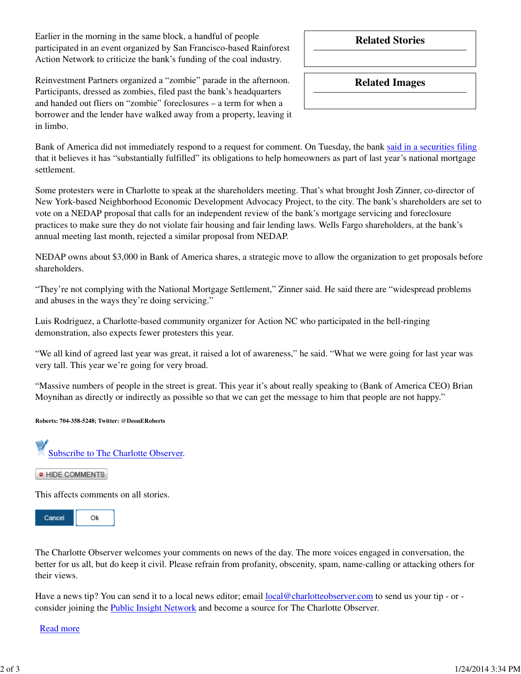Earlier in the morning in the same block, a handful of people participated in an event organized by San Francisco-based Rainforest Action Network to criticize the bank's funding of the coal industry.

**Related Stories**

Reinvestment Partners organized a "zombie" parade in the afternoon. Participants, dressed as zombies, filed past the bank's headquarters and handed out fliers on "zombie" foreclosures – a term for when a borrower and the lender have walked away from a property, leaving it in limbo.

**Related Images**

Bank of America did not immediately respond to a request for comment. On Tuesday, the bank said in a securities filing that it believes it has "substantially fulfilled" its obligations to help homeowners as part of last year's national mortgage settlement.

Some protesters were in Charlotte to speak at the shareholders meeting. That's what brought Josh Zinner, co-director of New York-based Neighborhood Economic Development Advocacy Project, to the city. The bank's shareholders are set to vote on a NEDAP proposal that calls for an independent review of the bank's mortgage servicing and foreclosure practices to make sure they do not violate fair housing and fair lending laws. Wells Fargo shareholders, at the bank's annual meeting last month, rejected a similar proposal from NEDAP.

NEDAP owns about \$3,000 in Bank of America shares, a strategic move to allow the organization to get proposals before shareholders.

"They're not complying with the National Mortgage Settlement," Zinner said. He said there are "widespread problems and abuses in the ways they're doing servicing."

Luis Rodriguez, a Charlotte-based community organizer for Action NC who participated in the bell-ringing demonstration, also expects fewer protesters this year.

"We all kind of agreed last year was great, it raised a lot of awareness," he said. "What we were going for last year was very tall. This year we're going for very broad.

"Massive numbers of people in the street is great. This year it's about really speaking to (Bank of America CEO) Brian Moynihan as directly or indirectly as possible so that we can get the message to him that people are not happy."

**Roberts: 704-358-5248; Twitter: @DeonERoberts**

Subscribe to The Charlotte Observer.

· HIDE COMMENTS

This affects comments on all stories.



The Charlotte Observer welcomes your comments on news of the day. The more voices engaged in conversation, the better for us all, but do keep it civil. Please refrain from profanity, obscenity, spam, name-calling or attacking others for their views.

Have a news tip? You can send it to a local news editor; email local@charlotteobserver.com to send us your tip - or consider joining the Public Insight Network and become a source for The Charlotte Observer.

Read more